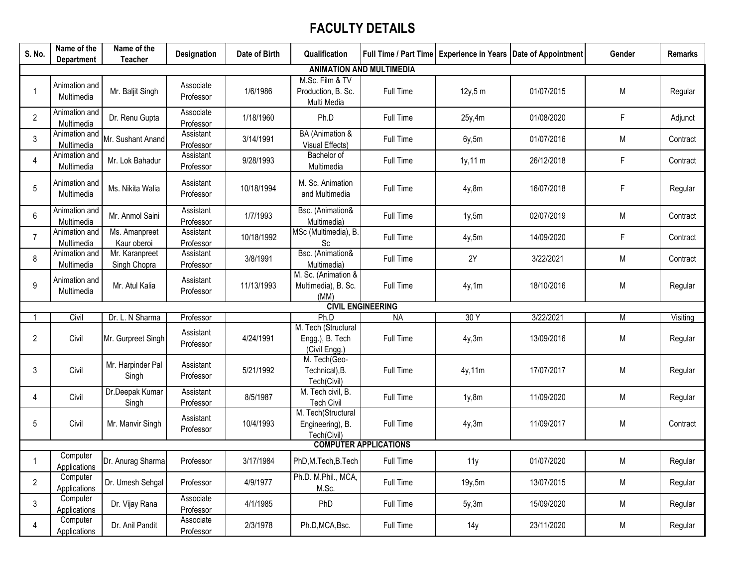## **FACULTY DETAILS**

| S. No.         | Name of the<br>Department   | Name of the<br><b>Teacher</b>  | <b>Designation</b>     | Date of Birth | Qualification                                           |                                 |           | Full Time / Part Time   Experience in Years   Date of Appointment | Gender | <b>Remarks</b> |
|----------------|-----------------------------|--------------------------------|------------------------|---------------|---------------------------------------------------------|---------------------------------|-----------|-------------------------------------------------------------------|--------|----------------|
|                |                             |                                |                        |               |                                                         | <b>ANIMATION AND MULTIMEDIA</b> |           |                                                                   |        |                |
|                | Animation and<br>Multimedia | Mr. Baljit Singh               | Associate<br>Professor | 1/6/1986      | M.Sc. Film & TV<br>Production, B. Sc.<br>Multi Media    | Full Time                       | 12y, 5m   | 01/07/2015                                                        | M      | Regular        |
| $\overline{2}$ | Animation and<br>Multimedia | Dr. Renu Gupta                 | Associate<br>Professor | 1/18/1960     | Ph.D                                                    | Full Time                       | 25y,4m    | 01/08/2020                                                        | F      | Adjunct        |
| 3              | Animation and<br>Multimedia | Mr. Sushant Anand              | Assistant<br>Professor | 3/14/1991     | BA (Animation &<br>Visual Effects)                      | Full Time                       | 6y, 5m    | 01/07/2016                                                        | M      | Contract       |
| 4              | Animation and<br>Multimedia | Mr. Lok Bahadur                | Assistant<br>Professor | 9/28/1993     | Bachelor of<br>Multimedia                               | Full Time                       | $1y,11$ m | 26/12/2018                                                        | F      | Contract       |
| 5              | Animation and<br>Multimedia | Ms. Nikita Walia               | Assistant<br>Professor | 10/18/1994    | M. Sc. Animation<br>and Multimedia                      | Full Time                       | 4y,8m     | 16/07/2018                                                        | F      | Regular        |
| 6              | Animation and<br>Multimedia | Mr. Anmol Saini                | Assistant<br>Professor | 1/7/1993      | Bsc. (Animation&<br>Multimedia)                         | Full Time                       | 1y, 5m    | 02/07/2019                                                        | M      | Contract       |
| 7              | Animation and<br>Multimedia | Ms. Amanpreet<br>Kaur oberoi   | Assistant<br>Professor | 10/18/1992    | MSc (Multimedia), B.<br>Sc                              | Full Time                       | 4y,5m     | 14/09/2020                                                        | F      | Contract       |
| 8              | Animation and<br>Multimedia | Mr. Karanpreet<br>Singh Chopra | Assistant<br>Professor | 3/8/1991      | Bsc. (Animation&<br>Multimedia)                         | Full Time                       | 2Y        | 3/22/2021                                                         | M      | Contract       |
| 9              | Animation and<br>Multimedia | Mr. Atul Kalia                 | Assistant<br>Professor | 11/13/1993    | M. Sc. (Animation &<br>Multimedia), B. Sc.<br>(MM)      | Full Time                       | 4y,1m     | 18/10/2016                                                        | M      | Regular        |
|                |                             |                                |                        |               |                                                         | <b>CIVIL ENGINEERING</b>        |           |                                                                   |        |                |
|                | Civil                       | Dr. L. N Sharma                | Professor              |               | Ph.D                                                    | <b>NA</b>                       | 30Y       | 3/22/2021                                                         | M      | Visiting       |
| 2              | Civil                       | Mr. Gurpreet Singh             | Assistant<br>Professor | 4/24/1991     | M. Tech (Structural<br>Engg.), B. Tech<br>(Civil Engg.) | Full Time                       | 4y,3m     | 13/09/2016                                                        | M      | Regular        |
| 3              | Civil                       | Mr. Harpinder Pal<br>Singh     | Assistant<br>Professor | 5/21/1992     | M. Tech(Geo-<br>Technical), B.<br>Tech(Civil)           | Full Time                       | 4y,11m    | 17/07/2017                                                        | M      | Regular        |
| 4              | Civil                       | Dr.Deepak Kumar<br>Singh       | Assistant<br>Professor | 8/5/1987      | M. Tech civil, B.<br><b>Tech Civil</b>                  | Full Time                       | 1y,8m     | 11/09/2020                                                        | M      | Regular        |
| 5              | Civil                       | Mr. Manvir Singh               | Assistant<br>Professor | 10/4/1993     | M. Tech(Structural<br>Engineering), B.<br>Tech(Civil)   | Full Time                       | 4y,3m     | 11/09/2017                                                        | M      | Contract       |
|                |                             |                                |                        |               |                                                         | <b>COMPUTER APPLICATIONS</b>    |           |                                                                   |        |                |
|                | Computer<br>Applications    | Dr. Anurag Sharma              | Professor              | 3/17/1984     | PhD,M.Tech,B.Tech                                       | Full Time                       | 11y       | 01/07/2020                                                        | M      | Regular        |
| $\overline{2}$ | Computer<br>Applications    | Dr. Umesh Sehgal               | Professor              | 4/9/1977      | Ph.D. M.Phil., MCA,<br>M.Sc.                            | Full Time                       | 19y, 5m   | 13/07/2015                                                        | M      | Regular        |
| 3              | Computer<br>Applications    | Dr. Vijay Rana                 | Associate<br>Professor | 4/1/1985      | PhD                                                     | Full Time                       | 5y,3m     | 15/09/2020                                                        | M      | Regular        |
| 4              | Computer<br>Applications    | Dr. Anil Pandit                | Associate<br>Professor | 2/3/1978      | Ph.D, MCA, Bsc.                                         | Full Time                       | 14y       | 23/11/2020                                                        | M      | Regular        |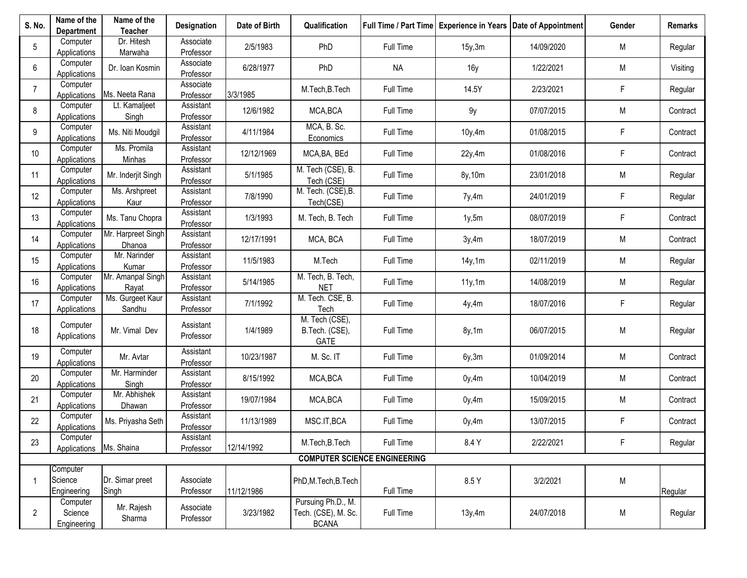| S. No.          | Name of the<br><b>Department</b>   | Name of the<br><b>Teacher</b> | <b>Designation</b>     | Date of Birth | Qualification                                             |                                     |         | Full Time / Part Time   Experience in Years   Date of Appointment | Gender | Remarks  |
|-----------------|------------------------------------|-------------------------------|------------------------|---------------|-----------------------------------------------------------|-------------------------------------|---------|-------------------------------------------------------------------|--------|----------|
| 5               | Computer<br>Applications           | Dr. Hitesh<br>Marwaha         | Associate<br>Professor | 2/5/1983      | PhD                                                       | Full Time                           | 15y, 3m | 14/09/2020                                                        | M      | Regular  |
| 6               | Computer<br>Applications           | Dr. Ioan Kosmin               | Associate<br>Professor | 6/28/1977     | PhD                                                       | <b>NA</b>                           | 16y     | 1/22/2021                                                         | M      | Visiting |
| $\overline{7}$  | Computer<br>Applications           | Ms. Neeta Rana                | Associate<br>Professor | 3/3/1985      | M.Tech, B.Tech                                            | Full Time                           | 14.5Y   | 2/23/2021                                                         | F      | Regular  |
| 8               | Computer<br>Applications           | Lt. Kamaljeet<br>Singh        | Assistant<br>Professor | 12/6/1982     | MCA, BCA                                                  | Full Time                           | 9y      | 07/07/2015                                                        | M      | Contract |
| 9               | Computer<br>Applications           | Ms. Niti Moudgil              | Assistant<br>Professor | 4/11/1984     | MCA, B. Sc.<br>Economics                                  | Full Time                           | 10y, 4m | 01/08/2015                                                        | F      | Contract |
| 10 <sup>°</sup> | Computer<br>Applications           | Ms. Promila<br>Minhas         | Assistant<br>Professor | 12/12/1969    | MCA, BA, BEd                                              | Full Time                           | 22y,4m  | 01/08/2016                                                        | F      | Contract |
| 11              | Computer<br>Applications           | Mr. Inderjit Singh            | Assistant<br>Professor | 5/1/1985      | M. Tech (CSE), B.<br>Tech (CSE)                           | Full Time                           | 8y, 10m | 23/01/2018                                                        | M      | Regular  |
| 12              | Computer<br>Applications           | Ms. Arshpreet<br>Kaur         | Assistant<br>Professor | 7/8/1990      | M. Tech. (CSE), B.<br>Tech(CSE)                           | Full Time                           | 7y,4m   | 24/01/2019                                                        | F      | Regular  |
| 13              | Computer<br>Applications           | Ms. Tanu Chopra               | Assistant<br>Professor | 1/3/1993      | M. Tech, B. Tech                                          | Full Time                           | 1y, 5m  | 08/07/2019                                                        | F      | Contract |
| 14              | Computer<br>Applications           | Mr. Harpreet Singh<br>Dhanoa  | Assistant<br>Professor | 12/17/1991    | MCA, BCA                                                  | Full Time                           | 3y,4m   | 18/07/2019                                                        | M      | Contract |
| 15              | Computer<br>Applications           | Mr. Narinder<br>Kumar         | Assistant<br>Professor | 11/5/1983     | M.Tech                                                    | Full Time                           | 14y, 1m | 02/11/2019                                                        | M      | Regular  |
| 16              | Computer<br>Applications           | Mr. Amanpal Singh<br>Rayat    | Assistant<br>Professor | 5/14/1985     | M. Tech, B. Tech,<br><b>NET</b>                           | Full Time                           | 11y, 1m | 14/08/2019                                                        | M      | Regular  |
| 17              | Computer<br>Applications           | Ms. Gurgeet Kaur<br>Sandhu    | Assistant<br>Professor | 7/1/1992      | M. Tech. CSE, B.<br>Tech                                  | Full Time                           | 4y,4m   | 18/07/2016                                                        | F      | Regular  |
| 18              | Computer<br>Applications           | Mr. Vimal Dev                 | Assistant<br>Professor | 1/4/1989      | M. Tech (CSE),<br>B.Tech. (CSE),<br>GATE                  | Full Time                           | 8y,1m   | 06/07/2015                                                        | M      | Regular  |
| 19              | Computer<br>Applications           | Mr. Avtar                     | Assistant<br>Professor | 10/23/1987    | M. Sc. IT                                                 | Full Time                           | 6y, 3m  | 01/09/2014                                                        | M      | Contract |
| 20              | Computer<br>Applications           | Mr. Harminder<br>Singh        | Assistant<br>Professor | 8/15/1992     | MCA, BCA                                                  | Full Time                           | 0y, 4m  | 10/04/2019                                                        | M      | Contract |
| 21              | Computer<br>Applications           | Mr. Abhishek<br>Dhawan        | Assistant<br>Professor | 19/07/1984    | MCA, BCA                                                  | Full Time                           | 0y,4m   | 15/09/2015                                                        | M      | Contract |
| 22              | Computer<br>Applications           | Ms. Priyasha Seth             | Assistant<br>Professor | 11/13/1989    | MSC.IT, BCA                                               | Full Time                           | 0y,4m   | 13/07/2015                                                        | F      | Contract |
| 23              | Computer<br>Applications           | Ms. Shaina                    | Assistant<br>Professor | 12/14/1992    | M.Tech, B.Tech                                            | Full Time                           | 8.4 Y   | 2/22/2021                                                         | F      | Regular  |
|                 |                                    |                               |                        |               |                                                           | <b>COMPUTER SCIENCE ENGINEERING</b> |         |                                                                   |        |          |
|                 | Computer<br>Science<br>Engineering | Dr. Simar preet<br>Singh      | Associate<br>Professor | 11/12/1986    | PhD,M.Tech,B.Tech                                         | Full Time                           | 8.5 Y   | 3/2/2021                                                          | M      | Regular  |
| $\overline{2}$  | Computer<br>Science<br>Engineering | Mr. Rajesh<br>Sharma          | Associate<br>Professor | 3/23/1982     | Pursuing Ph.D., M.<br>Tech. (CSE), M. Sc.<br><b>BCANA</b> | Full Time                           | 13y,4m  | 24/07/2018                                                        | M      | Regular  |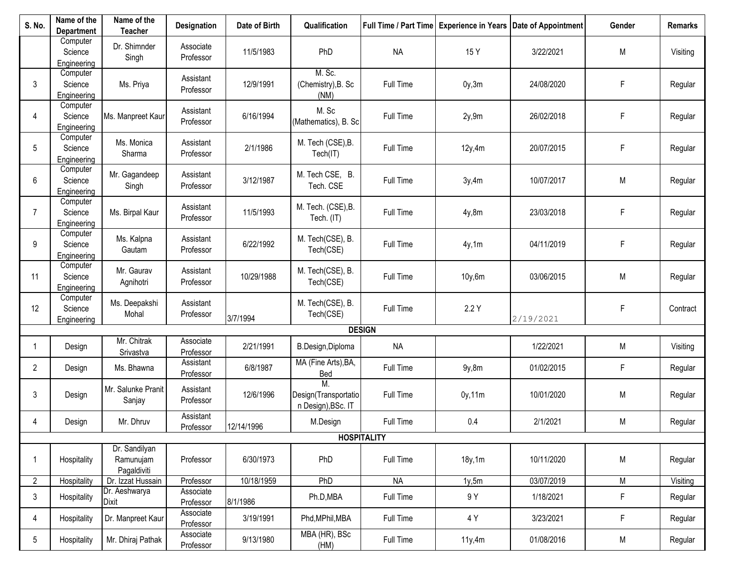| S. No.         | Name of the<br><b>Department</b>   | Name of the<br><b>Teacher</b>             | Designation            | Date of Birth | Qualification                                    |                    |         | Full Time / Part Time   Experience in Years   Date of Appointment | Gender    | <b>Remarks</b> |
|----------------|------------------------------------|-------------------------------------------|------------------------|---------------|--------------------------------------------------|--------------------|---------|-------------------------------------------------------------------|-----------|----------------|
|                | Computer<br>Science<br>Engineering | Dr. Shimnder<br>Singh                     | Associate<br>Professor | 11/5/1983     | PhD                                              | <b>NA</b>          | 15 Y    | 3/22/2021                                                         | M         | Visiting       |
| 3              | Computer<br>Science<br>Engineering | Ms. Priya                                 | Assistant<br>Professor | 12/9/1991     | M. Sc.<br>(Chemistry), B. Sc<br>(NM)             | Full Time          | 0y, 3m  | 24/08/2020                                                        | F         | Regular        |
| 4              | Computer<br>Science<br>Engineering | Ms. Manpreet Kaur                         | Assistant<br>Professor | 6/16/1994     | M. Sc<br>(Mathematics), B. Sc                    | Full Time          | 2y,9m   | 26/02/2018                                                        | F         | Regular        |
| 5              | Computer<br>Science<br>Engineering | Ms. Monica<br>Sharma                      | Assistant<br>Professor | 2/1/1986      | M. Tech (CSE), B.<br>Tech(IT)                    | Full Time          | 12y,4m  | 20/07/2015                                                        | F         | Regular        |
| 6              | Computer<br>Science<br>Engineering | Mr. Gagandeep<br>Singh                    | Assistant<br>Professor | 3/12/1987     | M. Tech CSE, B.<br>Tech. CSE                     | Full Time          | 3y,4m   | 10/07/2017                                                        | M         | Regular        |
| $\overline{7}$ | Computer<br>Science<br>Engineering | Ms. Birpal Kaur                           | Assistant<br>Professor | 11/5/1993     | M. Tech. (CSE), B.<br>Tech. (IT)                 | Full Time          | 4y,8m   | 23/03/2018                                                        | F         | Regular        |
| 9              | Computer<br>Science<br>Engineering | Ms. Kalpna<br>Gautam                      | Assistant<br>Professor | 6/22/1992     | M. Tech(CSE), B.<br>Tech(CSE)                    | Full Time          | 4y,1m   | 04/11/2019                                                        | F         | Regular        |
| 11             | Computer<br>Science<br>Engineering | Mr. Gaurav<br>Agnihotri                   | Assistant<br>Professor | 10/29/1988    | M. Tech(CSE), B.<br>Tech(CSE)                    | Full Time          | 10y, 6m | 03/06/2015                                                        | M         | Regular        |
| 12             | Computer<br>Science<br>Engineering | Ms. Deepakshi<br>Mohal                    | Assistant<br>Professor | 3/7/1994      | M. Tech(CSE), B.<br>Tech(CSE)                    | Full Time          | 2.2Y    | 2/19/2021                                                         | F         | Contract       |
|                |                                    |                                           |                        |               |                                                  | <b>DESIGN</b>      |         |                                                                   |           |                |
|                | Design                             | Mr. Chitrak<br>Srivastva                  | Associate<br>Professor | 2/21/1991     | B.Design, Diploma                                | <b>NA</b>          |         | 1/22/2021                                                         | M         | Visiting       |
| $\mathbf{2}$   | Design                             | Ms. Bhawna                                | Assistant<br>Professor | 6/8/1987      | MA (Fine Arts), BA,<br><b>Bed</b>                | Full Time          | 9y,8m   | 01/02/2015                                                        | F         | Regular        |
| 3              | Design                             | Mr. Salunke Pranit<br>Sanjay              | Assistant<br>Professor | 12/6/1996     | М.<br>Design(Transportatio<br>n Design), BSc. IT | Full Time          | 0y,11m  | 10/01/2020                                                        | ${\sf M}$ | Regular        |
| 4              | Design                             | Mr. Dhruv                                 | Assistant<br>Professor | 12/14/1996    | M.Design                                         | Full Time          | 0.4     | 2/1/2021                                                          | M         | Regular        |
|                |                                    |                                           |                        |               |                                                  | <b>HOSPITALITY</b> |         |                                                                   |           |                |
|                | Hospitality                        | Dr. Sandilyan<br>Ramunujam<br>Pagaldiviti | Professor              | 6/30/1973     | PhD                                              | Full Time          | 18y, 1m | 10/11/2020                                                        | M         | Regular        |
| $\mathbf{2}$   | Hospitality                        | Dr. Izzat Hussain                         | Professor              | 10/18/1959    | PhD                                              | <b>NA</b>          | 1y, 5m  | 03/07/2019                                                        | M         | Visiting       |
| 3              | Hospitality                        | Dr. Aeshwarya<br><b>Dixit</b>             | Associate<br>Professor | 8/1/1986      | Ph.D, MBA                                        | Full Time          | 9 Y     | 1/18/2021                                                         | F         | Regular        |
| 4              | Hospitality                        | Dr. Manpreet Kaur                         | Associate<br>Professor | 3/19/1991     | Phd, MPhil, MBA                                  | Full Time          | 4 Y     | 3/23/2021                                                         | F         | Regular        |
| 5 <sub>5</sub> | Hospitality                        | Mr. Dhiraj Pathak                         | Associate<br>Professor | 9/13/1980     | MBA (HR), BSc<br>(HM)                            | Full Time          | 11y,4m  | 01/08/2016                                                        | M         | Regular        |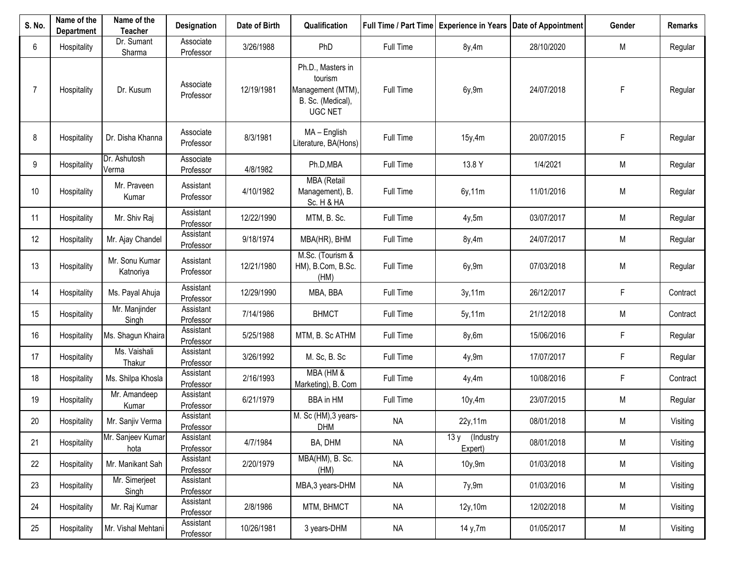| S. No. | Name of the<br><b>Department</b> | Name of the<br><b>Teacher</b> | <b>Designation</b>     | Date of Birth | Qualification                                                                            |           |                           | Full Time / Part Time   Experience in Years   Date of Appointment | Gender      | <b>Remarks</b> |
|--------|----------------------------------|-------------------------------|------------------------|---------------|------------------------------------------------------------------------------------------|-----------|---------------------------|-------------------------------------------------------------------|-------------|----------------|
| 6      | Hospitality                      | Dr. Sumant<br>Sharma          | Associate<br>Professor | 3/26/1988     | PhD                                                                                      | Full Time | 8y,4m                     | 28/10/2020                                                        | M           | Regular        |
| 7      | Hospitality                      | Dr. Kusum                     | Associate<br>Professor | 12/19/1981    | Ph.D., Masters in<br>tourism<br>Management (MTM),<br>B. Sc. (Medical),<br><b>UGC NET</b> | Full Time | 6y,9m                     | 24/07/2018                                                        | $\mathsf F$ | Regular        |
| 8      | Hospitality                      | Dr. Disha Khanna              | Associate<br>Professor | 8/3/1981      | MA - English<br>Literature, BA(Hons)                                                     | Full Time | 15y,4m                    | 20/07/2015                                                        | F           | Regular        |
| 9      | Hospitality                      | Dr. Ashutosh<br>Verma         | Associate<br>Professor | 4/8/1982      | Ph.D, MBA                                                                                | Full Time | 13.8 Y                    | 1/4/2021                                                          | M           | Regular        |
| 10     | Hospitality                      | Mr. Praveen<br>Kumar          | Assistant<br>Professor | 4/10/1982     | <b>MBA</b> (Retail<br>Management), B.<br>Sc. H & HA                                      | Full Time | 6y,11m                    | 11/01/2016                                                        | M           | Regular        |
| 11     | Hospitality                      | Mr. Shiv Raj                  | Assistant<br>Professor | 12/22/1990    | MTM, B. Sc.                                                                              | Full Time | 4y,5m                     | 03/07/2017                                                        | M           | Regular        |
| 12     | Hospitality                      | Mr. Ajay Chandel              | Assistant<br>Professor | 9/18/1974     | MBA(HR), BHM                                                                             | Full Time | 8y,4m                     | 24/07/2017                                                        | M           | Regular        |
| 13     | Hospitality                      | Mr. Sonu Kumar<br>Katnoriya   | Assistant<br>Professor | 12/21/1980    | M.Sc. (Tourism &<br>HM), B.Com, B.Sc.<br>(HM)                                            | Full Time | 6y,9m                     | 07/03/2018                                                        | M           | Regular        |
| 14     | Hospitality                      | Ms. Payal Ahuja               | Assistant<br>Professor | 12/29/1990    | MBA, BBA                                                                                 | Full Time | 3y, 11m                   | 26/12/2017                                                        | F           | Contract       |
| 15     | Hospitality                      | Mr. Manjinder<br>Singh        | Assistant<br>Professor | 7/14/1986     | <b>BHMCT</b>                                                                             | Full Time | 5y, 11m                   | 21/12/2018                                                        | M           | Contract       |
| 16     | Hospitality                      | Ms. Shagun Khaira             | Assistant<br>Professor | 5/25/1988     | MTM, B. Sc ATHM                                                                          | Full Time | 8y,6m                     | 15/06/2016                                                        | F           | Regular        |
| 17     | Hospitality                      | Ms. Vaishali<br>Thakur        | Assistant<br>Professor | 3/26/1992     | M. Sc, B. Sc                                                                             | Full Time | 4y,9m                     | 17/07/2017                                                        | F           | Regular        |
| 18     | Hospitality                      | Ms. Shilpa Khosla             | Assistant<br>Professor | 2/16/1993     | MBA (HM &<br>Marketing), B. Com                                                          | Full Time | 4y,4m                     | 10/08/2016                                                        | F           | Contract       |
| 19     | Hospitality                      | Mr. Amandeep<br>Kumar         | Assistant<br>Professor | 6/21/1979     | <b>BBA</b> in HM                                                                         | Full Time | 10y, 4m                   | 23/07/2015                                                        | M           | Regular        |
| 20     | Hospitality                      | Mr. Sanjiv Verma              | Assistant<br>Professor |               | M. Sc (HM), 3 years-<br><b>DHM</b>                                                       | <b>NA</b> | 22y,11m                   | 08/01/2018                                                        | M           | Visiting       |
| 21     | Hospitality                      | Mr. Sanjeev Kumar<br>hota     | Assistant<br>Professor | 4/7/1984      | BA, DHM                                                                                  | <b>NA</b> | 13 y (Industry<br>Expert) | 08/01/2018                                                        | M           | Visiting       |
| 22     | Hospitality                      | Mr. Manikant Sah              | Assistant<br>Professor | 2/20/1979     | MBA(HM), B. Sc.<br>(HM)                                                                  | <b>NA</b> | 10y,9m                    | 01/03/2018                                                        | M           | Visiting       |
| 23     | Hospitality                      | Mr. Simerjeet<br>Singh        | Assistant<br>Professor |               | MBA, 3 years-DHM                                                                         | <b>NA</b> | 7y,9m                     | 01/03/2016                                                        | M           | Visiting       |
| 24     | Hospitality                      | Mr. Raj Kumar                 | Assistant<br>Professor | 2/8/1986      | MTM, BHMCT                                                                               | <b>NA</b> | 12y,10m                   | 12/02/2018                                                        | M           | Visiting       |
| 25     | Hospitality                      | Mr. Vishal Mehtani            | Assistant<br>Professor | 10/26/1981    | 3 years-DHM                                                                              | <b>NA</b> | 14 y,7m                   | 01/05/2017                                                        | M           | Visiting       |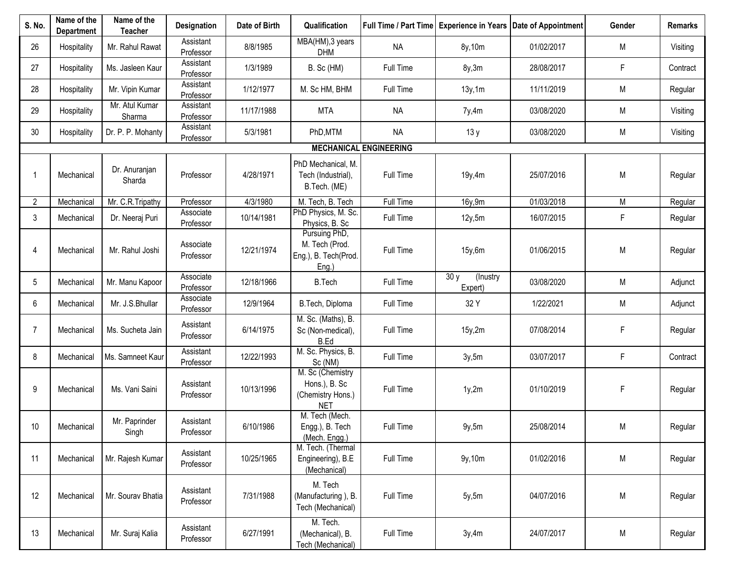| S. No.         | Name of the<br><b>Department</b> | Name of the<br><b>Teacher</b> | Designation            | Date of Birth | Qualification                                                        |                               |                            | Full Time / Part Time   Experience in Years   Date of Appointment | Gender    | Remarks  |
|----------------|----------------------------------|-------------------------------|------------------------|---------------|----------------------------------------------------------------------|-------------------------------|----------------------------|-------------------------------------------------------------------|-----------|----------|
| 26             | Hospitality                      | Mr. Rahul Rawat               | Assistant<br>Professor | 8/8/1985      | MBA(HM), 3 years<br><b>DHM</b>                                       | <b>NA</b>                     | 8y, 10m                    | 01/02/2017                                                        | M         | Visiting |
| 27             | Hospitality                      | Ms. Jasleen Kaur              | Assistant<br>Professor | 1/3/1989      | B. Sc (HM)                                                           | Full Time                     | 8y,3m                      | 28/08/2017                                                        | F         | Contract |
| 28             | Hospitality                      | Mr. Vipin Kumar               | Assistant<br>Professor | 1/12/1977     | M. Sc HM, BHM                                                        | Full Time                     | 13y, 1m                    | 11/11/2019                                                        | M         | Regular  |
| 29             | Hospitality                      | Mr. Atul Kumar<br>Sharma      | Assistant<br>Professor | 11/17/1988    | <b>MTA</b>                                                           | <b>NA</b>                     | 7y,4m                      | 03/08/2020                                                        | M         | Visiting |
| 30             | Hospitality                      | Dr. P. P. Mohanty             | Assistant<br>Professor | 5/3/1981      | PhD, MTM                                                             | <b>NA</b>                     | 13y                        | 03/08/2020                                                        | M         | Visiting |
|                |                                  |                               |                        |               |                                                                      | <b>MECHANICAL ENGINEERING</b> |                            |                                                                   |           |          |
| 1              | Mechanical                       | Dr. Anuranjan<br>Sharda       | Professor              | 4/28/1971     | PhD Mechanical, M.<br>Tech (Industrial),<br>B.Tech. (ME)             | Full Time                     | 19y,4m                     | 25/07/2016                                                        | M         | Regular  |
| 2              | Mechanical                       | Mr. C.R. Tripathy             | Professor              | 4/3/1980      | M. Tech, B. Tech                                                     | Full Time                     | 16y,9m                     | 01/03/2018                                                        | ${\sf M}$ | Regular  |
| 3              | Mechanical                       | Dr. Neeraj Puri               | Associate<br>Professor | 10/14/1981    | PhD Physics, M. Sc.<br>Physics, B. Sc                                | Full Time                     | 12y, 5m                    | 16/07/2015                                                        | F         | Regular  |
| 4              | Mechanical                       | Mr. Rahul Joshi               | Associate<br>Professor | 12/21/1974    | Pursuing PhD,<br>M. Tech (Prod.<br>Eng.), B. Tech(Prod.<br>Eng.)     | Full Time                     | 15y,6m                     | 01/06/2015                                                        | M         | Regular  |
| 5              | Mechanical                       | Mr. Manu Kapoor               | Associate<br>Professor | 12/18/1966    | <b>B.Tech</b>                                                        | Full Time                     | 30y<br>(Inustry<br>Expert) | 03/08/2020                                                        | ${\sf M}$ | Adjunct  |
| 6              | Mechanical                       | Mr. J.S.Bhullar               | Associate<br>Professor | 12/9/1964     | B.Tech, Diploma                                                      | Full Time                     | 32 Y                       | 1/22/2021                                                         | M         | Adjunct  |
| $\overline{7}$ | Mechanical                       | Ms. Sucheta Jain              | Assistant<br>Professor | 6/14/1975     | M. Sc. (Maths), B.<br>Sc (Non-medical),<br>B.Ed                      | Full Time                     | 15y,2m                     | 07/08/2014                                                        | F         | Regular  |
| 8              | Mechanical                       | Ms. Samneet Kaur              | Assistant<br>Professor | 12/22/1993    | M. Sc. Physics, B.<br>Sc (NM)                                        | Full Time                     | 3y,5m                      | 03/07/2017                                                        | F         | Contract |
| 9              | Mechanical                       | Ms. Vani Saini                | Assistant<br>Professor | 10/13/1996    | M. Sc (Chemistry<br>Hons.), B. Sc<br>(Chemistry Hons.)<br><b>NET</b> | Full Time                     | 1y,2m                      | 01/10/2019                                                        | F         | Regular  |
| 10             | Mechanical                       | Mr. Paprinder<br>Singh        | Assistant<br>Professor | 6/10/1986     | M. Tech (Mech.<br>Engg.), B. Tech<br>(Mech. Engg.)                   | Full Time                     | 9y,5m                      | 25/08/2014                                                        | M         | Regular  |
| 11             | Mechanical                       | Mr. Rajesh Kumar              | Assistant<br>Professor | 10/25/1965    | M. Tech. (Thermal<br>Engineering), B.E<br>(Mechanical)               | Full Time                     | 9y, 10m                    | 01/02/2016                                                        | M         | Regular  |
| 12             | Mechanical                       | Mr. Sourav Bhatia             | Assistant<br>Professor | 7/31/1988     | M. Tech<br>(Manufacturing), B.<br>Tech (Mechanical)                  | Full Time                     | 5y, 5m                     | 04/07/2016                                                        | ${\sf M}$ | Regular  |
| 13             | Mechanical                       | Mr. Suraj Kalia               | Assistant<br>Professor | 6/27/1991     | M. Tech.<br>(Mechanical), B.<br>Tech (Mechanical)                    | Full Time                     | 3y,4m                      | 24/07/2017                                                        | M         | Regular  |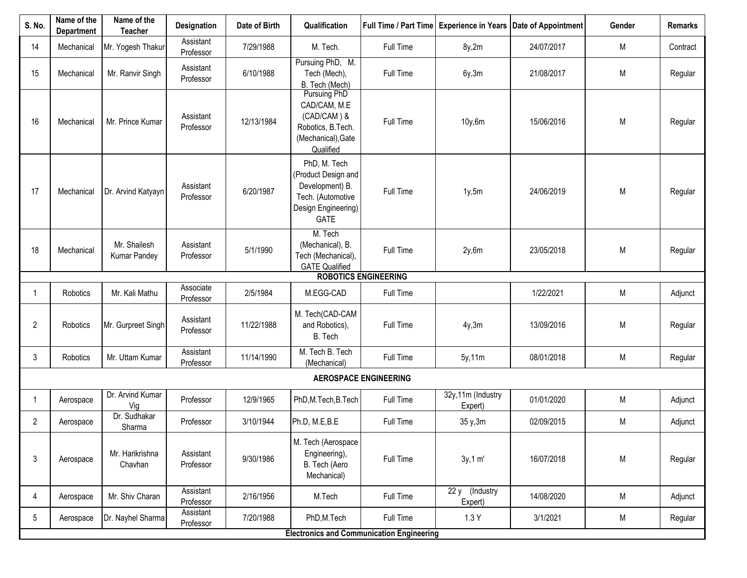| S. No.          | Name of the<br><b>Department</b> | Name of the<br><b>Teacher</b> | Designation            | Date of Birth | Qualification                                                                                              |                                                  |                              | Full Time / Part Time   Experience in Years   Date of Appointment | Gender | <b>Remarks</b> |
|-----------------|----------------------------------|-------------------------------|------------------------|---------------|------------------------------------------------------------------------------------------------------------|--------------------------------------------------|------------------------------|-------------------------------------------------------------------|--------|----------------|
| 14              | Mechanical                       | Mr. Yogesh Thakur             | Assistant<br>Professor | 7/29/1988     | M. Tech.                                                                                                   | Full Time                                        | 8y,2m                        | 24/07/2017                                                        | M      | Contract       |
| 15              | Mechanical                       | Mr. Ranvir Singh              | Assistant<br>Professor | 6/10/1988     | Pursuing PhD, M.<br>Tech (Mech),<br>B. Tech (Mech)                                                         | Full Time                                        | 6y, 3m                       | 21/08/2017                                                        | M      | Regular        |
| 16              | Mechanical                       | Mr. Prince Kumar              | Assistant<br>Professor | 12/13/1984    | Pursuing PhD<br>CAD/CAM, M.E<br>(CAD/CAM) &<br>Robotics, B.Tech.<br>(Mechanical), Gate<br>Qualified        | Full Time                                        | 10y,6m                       | 15/06/2016                                                        | M      | Regular        |
| 17              | Mechanical                       | Dr. Arvind Katyayn            | Assistant<br>Professor | 6/20/1987     | PhD, M. Tech<br>(Product Design and<br>Development) B.<br>Tech. (Automotive<br>Design Engineering)<br>GATE | Full Time                                        | 1y, 5m                       | 24/06/2019                                                        | M      | Regular        |
| 18              | Mechanical                       | Mr. Shailesh<br>Kumar Pandey  | Assistant<br>Professor | 5/1/1990      | M. Tech<br>(Mechanical), B.<br>Tech (Mechanical),<br><b>GATE Qualified</b>                                 | Full Time                                        | 2y,6m                        | 23/05/2018                                                        | M      | Regular        |
|                 |                                  |                               |                        |               |                                                                                                            | <b>ROBOTICS ENGINEERING</b>                      |                              |                                                                   |        |                |
|                 | Robotics                         | Mr. Kali Mathu                | Associate<br>Professor | 2/5/1984      | M.EGG-CAD                                                                                                  | Full Time                                        |                              | 1/22/2021                                                         | M      | Adjunct        |
| $\overline{2}$  | Robotics                         | Mr. Gurpreet Singh            | Assistant<br>Professor | 11/22/1988    | M. Tech(CAD-CAM<br>and Robotics),<br>B. Tech                                                               | Full Time                                        | 4y,3m                        | 13/09/2016                                                        | M      | Regular        |
| 3               | Robotics                         | Mr. Uttam Kumar               | Assistant<br>Professor | 11/14/1990    | M. Tech B. Tech<br>(Mechanical)                                                                            | Full Time                                        | 5y, 11m                      | 08/01/2018                                                        | M      | Regular        |
|                 |                                  |                               |                        |               |                                                                                                            | <b>AEROSPACE ENGINEERING</b>                     |                              |                                                                   |        |                |
|                 | Aerospace                        | Dr. Arvind Kumar<br>Vig       | Professor              | 12/9/1965     | PhD, M. Tech, B. Tech                                                                                      | Full Time                                        | 32y,11m (Industry<br>Expert) | 01/01/2020                                                        | M      | Adjunct        |
| $\overline{2}$  | Aerospace                        | Dr. Sudhakar<br>Sharma        | Professor              | 3/10/1944     | Ph.D, M.E,B.E                                                                                              | Full Time                                        | 35 y, 3m                     | 02/09/2015                                                        | М      | Adjunct        |
| 3               | Aerospace                        | Mr. Harikrishna<br>Chavhan    | Assistant<br>Professor | 9/30/1986     | M. Tech (Aerospace<br>Engineering),<br>B. Tech (Aero<br>Mechanical)                                        | Full Time                                        | 3y, 1 m'                     | 16/07/2018                                                        | M      | Regular        |
| 4               | Aerospace                        | Mr. Shiv Charan               | Assistant<br>Professor | 2/16/1956     | M.Tech                                                                                                     | Full Time                                        | 22 y (Industry<br>Expert)    | 14/08/2020                                                        | M      | Adjunct        |
| $5\phantom{.0}$ | Aerospace                        | Dr. Nayhel Sharma             | Assistant<br>Professor | 7/20/1988     | PhD, M. Tech                                                                                               | Full Time                                        | 1.3Y                         | 3/1/2021                                                          | M      | Regular        |
|                 |                                  |                               |                        |               |                                                                                                            | <b>Electronics and Communication Engineering</b> |                              |                                                                   |        |                |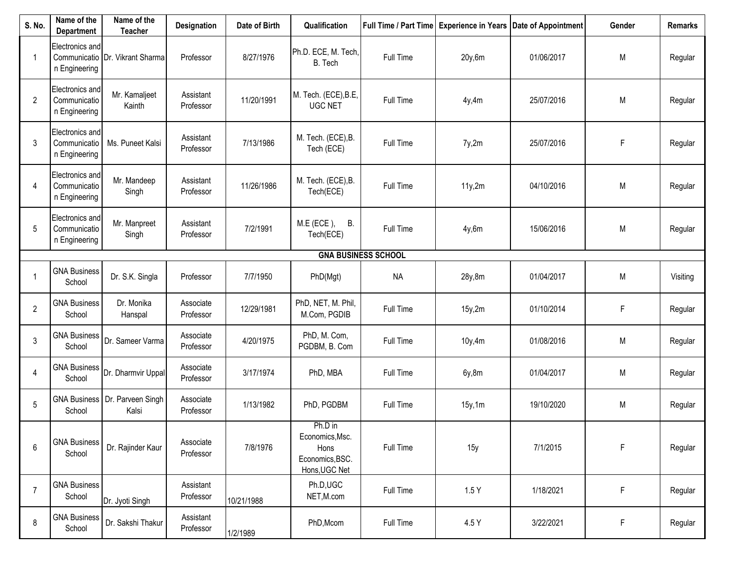| S. No.         | Name of the<br><b>Department</b>                 | Name of the<br><b>Teacher</b>             | Designation            | Date of Birth | Qualification                                                          |                            |         | Full Time / Part Time   Experience in Years   Date of Appointment | Gender    | <b>Remarks</b> |
|----------------|--------------------------------------------------|-------------------------------------------|------------------------|---------------|------------------------------------------------------------------------|----------------------------|---------|-------------------------------------------------------------------|-----------|----------------|
| -1             | Electronics and<br>n Engineering                 | Communicatio Dr. Vikrant Sharma           | Professor              | 8/27/1976     | Ph.D. ECE, M. Tech,<br>B. Tech                                         | Full Time                  | 20y,6m  | 01/06/2017                                                        | M         | Regular        |
| $\overline{2}$ | Electronics and<br>Communicatio<br>n Engineering | Mr. Kamaljeet<br>Kainth                   | Assistant<br>Professor | 11/20/1991    | M. Tech. (ECE), B.E,<br><b>UGC NET</b>                                 | Full Time                  | 4y,4m   | 25/07/2016                                                        | M         | Regular        |
| 3              | Electronics and<br>Communicatio<br>n Engineering | Ms. Puneet Kalsi                          | Assistant<br>Professor | 7/13/1986     | M. Tech. (ECE), B.<br>Tech (ECE)                                       | Full Time                  | 7y,2m   | 25/07/2016                                                        | F         | Regular        |
| 4              | Electronics and<br>Communicatio<br>n Engineering | Mr. Mandeep<br>Singh                      | Assistant<br>Professor | 11/26/1986    | M. Tech. (ECE), B.<br>Tech(ECE)                                        | Full Time                  | 11y,2m  | 04/10/2016                                                        | M         | Regular        |
| 5              | Electronics and<br>Communicatio<br>n Engineering | Mr. Manpreet<br>Singh                     | Assistant<br>Professor | 7/2/1991      | M.E (ECE), B.<br>Tech(ECE)                                             | Full Time                  | 4y,6m   | 15/06/2016                                                        | M         | Regular        |
|                |                                                  |                                           |                        |               |                                                                        | <b>GNA BUSINESS SCHOOL</b> |         |                                                                   |           |                |
|                | <b>GNA Business</b><br>School                    | Dr. S.K. Singla                           | Professor              | 7/7/1950      | PhD(Mgt)                                                               | <b>NA</b>                  | 28y,8m  | 01/04/2017                                                        | M         | Visiting       |
| $\overline{2}$ | <b>GNA Business</b><br>School                    | Dr. Monika<br>Hanspal                     | Associate<br>Professor | 12/29/1981    | PhD, NET, M. Phil,<br>M.Com, PGDIB                                     | Full Time                  | 15y,2m  | 01/10/2014                                                        | F         | Regular        |
| 3              | <b>GNA Business</b><br>School                    | Dr. Sameer Varma                          | Associate<br>Professor | 4/20/1975     | PhD, M. Com,<br>PGDBM, B. Com                                          | Full Time                  | 10y, 4m | 01/08/2016                                                        | M         | Regular        |
| 4              | <b>GNA Business</b><br>School                    | Dr. Dharmvir Uppal                        | Associate<br>Professor | 3/17/1974     | PhD, MBA                                                               | Full Time                  | 6y,8m   | 01/04/2017                                                        | M         | Regular        |
| 5              | School                                           | GNA Business   Dr. Parveen Singh<br>Kalsi | Associate<br>Professor | 1/13/1982     | PhD, PGDBM                                                             | Full Time                  | 15y, 1m | 19/10/2020                                                        | ${\sf M}$ | Regular        |
| 6              | <b>GNA Business</b><br>School                    | Dr. Rajinder Kaur                         | Associate<br>Professor | 7/8/1976      | Ph.D in<br>Economics, Msc.<br>Hons<br>Economics, BSC.<br>Hons, UGC Net | Full Time                  | 15y     | 7/1/2015                                                          | F         | Regular        |
| $\overline{7}$ | <b>GNA Business</b><br>School                    | Dr. Jyoti Singh                           | Assistant<br>Professor | 10/21/1988    | Ph.D,UGC<br>NET, M.com                                                 | Full Time                  | 1.5Y    | 1/18/2021                                                         | F         | Regular        |
| 8              | <b>GNA Business</b><br>School                    | Dr. Sakshi Thakur                         | Assistant<br>Professor | 1/2/1989      | PhD, Mcom                                                              | Full Time                  | 4.5 Y   | 3/22/2021                                                         | F         | Regular        |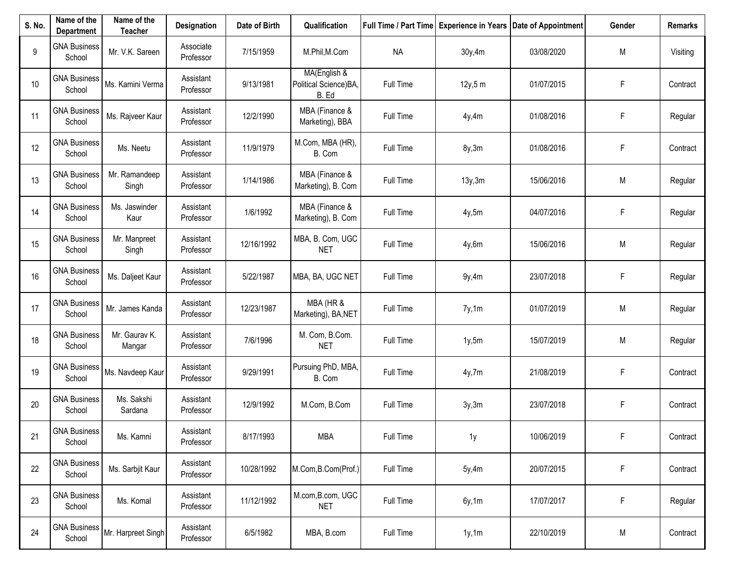| S. No. | Name of the<br><b>Department</b> | Name of the<br><b>Teacher</b> | Designation            | Date of Birth | Qualification                                  |           |         | Full Time / Part Time   Experience in Years   Date of Appointment | Gender | Remarks  |
|--------|----------------------------------|-------------------------------|------------------------|---------------|------------------------------------------------|-----------|---------|-------------------------------------------------------------------|--------|----------|
| 9      | <b>GNA Business</b><br>School    | Mr. V.K. Sareen               | Associate<br>Professor | 7/15/1959     | M.Phil, M.Com                                  | <b>NA</b> | 30y,4m  | 03/08/2020                                                        | M      | Visiting |
| 10     | <b>GNA Business</b><br>School    | Ms. Kamini Verma              | Assistant<br>Professor | 9/13/1981     | MA(English &<br>Political Science)BA,<br>B. Ed | Full Time | 12y, 5m | 01/07/2015                                                        | F      | Contract |
| 11     | <b>GNA Business</b><br>School    | Ms. Rajveer Kaur              | Assistant<br>Professor | 12/2/1990     | MBA (Finance &<br>Marketing), BBA              | Full Time | 4y,4m   | 01/08/2016                                                        | F      | Regular  |
| 12     | <b>GNA Business</b><br>School    | Ms. Neetu                     | Assistant<br>Professor | 11/9/1979     | M.Com, MBA (HR),<br>B. Com                     | Full Time | 8y,3m   | 01/08/2016                                                        | F      | Contract |
| 13     | <b>GNA Business</b><br>School    | Mr. Ramandeep<br>Singh        | Assistant<br>Professor | 1/14/1986     | MBA (Finance &<br>Marketing), B. Com           | Full Time | 13y, 3m | 15/06/2016                                                        | M      | Regular  |
| 14     | <b>GNA Business</b><br>School    | Ms. Jaswinder<br>Kaur         | Assistant<br>Professor | 1/6/1992      | MBA (Finance &<br>Marketing), B. Com           | Full Time | 4y,5m   | 04/07/2016                                                        | F      | Regular  |
| 15     | <b>GNA Business</b><br>School    | Mr. Manpreet<br>Singh         | Assistant<br>Professor | 12/16/1992    | MBA, B. Com, UGC<br><b>NET</b>                 | Full Time | 4y,6m   | 15/06/2016                                                        | M      | Regular  |
| 16     | <b>GNA Business</b><br>School    | Ms. Daljeet Kaur              | Assistant<br>Professor | 5/22/1987     | MBA, BA, UGC NET                               | Full Time | 9y,4m   | 23/07/2018                                                        | F      | Regular  |
| 17     | <b>GNA Business</b><br>School    | Mr. James Kanda               | Assistant<br>Professor | 12/23/1987    | MBA (HR &<br>Marketing), BA, NET               | Full Time | 7y,1m   | 01/07/2019                                                        | M      | Regular  |
| 18     | <b>GNA Business</b><br>School    | Mr. Gaurav K.<br>Mangar       | Assistant<br>Professor | 7/6/1996      | M. Com, B.Com.<br><b>NET</b>                   | Full Time | 1y, 5m  | 15/07/2019                                                        | M      | Regular  |
| 19     | <b>GNA Business</b><br>School    | Ms. Navdeep Kaur              | Assistant<br>Professor | 9/29/1991     | Pursuing PhD, MBA,<br>B. Com                   | Full Time | 4y,7m   | 21/08/2019                                                        | F      | Contract |
| 20     | <b>GNA Business</b><br>School    | Ms. Sakshi<br>Sardana         | Assistant<br>Professor | 12/9/1992     | M.Com, B.Com                                   | Full Time | 3y,3m   | 23/07/2018                                                        | F      | Contract |
| 21     | <b>GNA Business</b><br>School    | Ms. Kamni                     | Assistant<br>Professor | 8/17/1993     | <b>MBA</b>                                     | Full Time | 1y      | 10/06/2019                                                        | F      | Contract |
| 22     | <b>GNA Business</b><br>School    | Ms. Sarbjit Kaur              | Assistant<br>Professor | 10/28/1992    | M.Com, B.Com(Prof.)                            | Full Time | 5y,4m   | 20/07/2015                                                        | F      | Contract |
| 23     | <b>GNA Business</b><br>School    | Ms. Komal                     | Assistant<br>Professor | 11/12/1992    | M.com, B.com, UGC<br>NET                       | Full Time | 6y, 1m  | 17/07/2017                                                        | F      | Regular  |
| 24     | <b>GNA Business</b><br>School    | Mr. Harpreet Singh            | Assistant<br>Professor | 6/5/1982      | MBA, B.com                                     | Full Time | 1y, 1m  | 22/10/2019                                                        | M      | Contract |